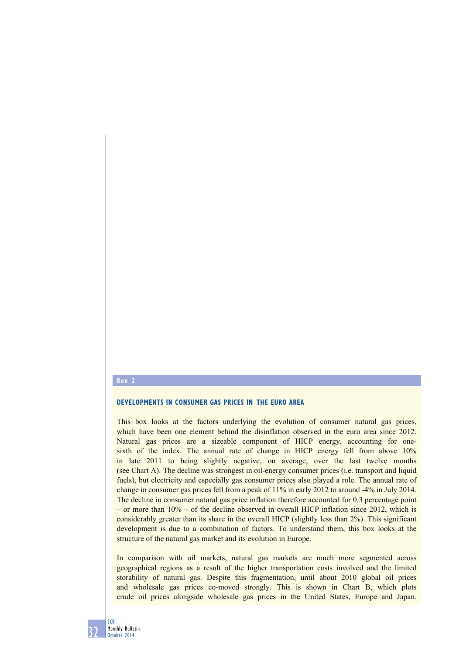## **Box 2**

## **Developments in consumer gas prices in the euro area**

This box looks at the factors underlying the evolution of consumer natural gas prices, which have been one element behind the disinflation observed in the euro area since 2012. Natural gas prices are a sizeable component of HICP energy, accounting for onesixth of the index. The annual rate of change in HICP energy fell from above 10% in late 2011 to being slightly negative, on average, over the last twelve months (see Chart A). The decline was strongest in oil-energy consumer prices (i.e. transport and liquid fuels), but electricity and especially gas consumer prices also played a role. The annual rate of change in consumer gas prices fell from a peak of 11% in early 2012 to around -4% in July 2014. The decline in consumer natural gas price inflation therefore accounted for 0.3 percentage point – or more than 10% – of the decline observed in overall HICP inflation since 2012, which is considerably greater than its share in the overall HICP (slightly less than 2%). This significant development is due to a combination of factors. To understand them, this box looks at the structure of the natural gas market and its evolution in Europe.

In comparison with oil markets, natural gas markets are much more segmented across geographical regions as a result of the higher transportation costs involved and the limited storability of natural gas. Despite this fragmentation, until about 2010 global oil prices and wholesale gas prices co-moved strongly. This is shown in Chart B, which plots crude oil prices alongside wholesale gas prices in the United States, Europe and Japan.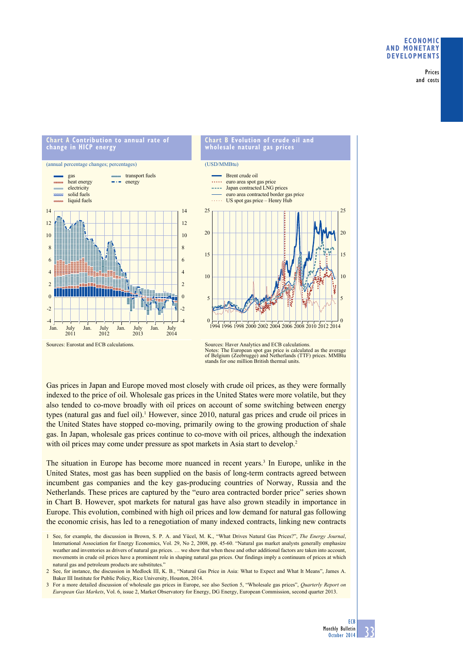## **Economic and monetary developments**

Prices and costs

#### (annual percentage changes; percentages) transport fuels gas month. heat energy  $\rightarrow$  energy electricity solid fuels liquid fuels 14 14 12 12 10 10 8 8 6 6 4 4 2  $\overline{2}$  $\overline{0}$ 0 -2  $\overline{c}$ -4 -4 Jan. July Jan July Jan. **July** Jan. July 2011 2012 2013 2014

**chart a contribution to annual rate of** 

**change in hicp energy**



Gas prices in Japan and Europe moved most closely with crude oil prices, as they were formally indexed to the price of oil. Wholesale gas prices in the United States were more volatile, but they also tended to co-move broadly with oil prices on account of some switching between energy types (natural gas and fuel oil).<sup>1</sup> However, since 2010, natural gas prices and crude oil prices in the United States have stopped co-moving, primarily owing to the growing production of shale gas. In Japan, wholesale gas prices continue to co-move with oil prices, although the indexation with oil prices may come under pressure as spot markets in Asia start to develop.<sup>2</sup>

The situation in Europe has become more nuanced in recent years.<sup>3</sup> In Europe, unlike in the United States, most gas has been supplied on the basis of long-term contracts agreed between incumbent gas companies and the key gas-producing countries of Norway, Russia and the Netherlands. These prices are captured by the "euro area contracted border price" series shown in Chart B. However, spot markets for natural gas have also grown steadily in importance in Europe. This evolution, combined with high oil prices and low demand for natural gas following the economic crisis, has led to a renegotiation of many indexed contracts, linking new contracts

Sources: Eurostat and ECB calculations.

Sources: Haver Analytics and ECB calculations. Notes: The European spot gas price is calculated as the average of Belgium (Zeebrugge) and Netherlands (TTF) prices. MMBtu stands for one million British thermal units.

<sup>1</sup> See, for example, the discussion in Brown, S. P. A. and Yücel, M. K., "What Drives Natural Gas Prices?", *The Energy Journal*, International Association for Energy Economics, Vol. 29, No 2, 2008, pp. 45-60. "Natural gas market analysts generally emphasize weather and inventories as drivers of natural gas prices. … we show that when these and other additional factors are taken into account, movements in crude oil prices have a prominent role in shaping natural gas prices. Our findings imply a continuum of prices at which natural gas and petroleum products are substitutes.

<sup>2</sup> See, for instance, the discussion in Medlock III, K. B., "Natural Gas Price in Asia: What to Expect and What It Means", James A. Baker III Institute for Public Policy, Rice University, Houston, 2014.

<sup>3</sup> For a more detailed discussion of wholesale gas prices in Europe, see also Section 5, "Wholesale gas prices", *Quarterly Report on European Gas Markets*, Vol. 6, issue 2, Market Observatory for Energy, DG Energy, European Commission, second quarter 2013.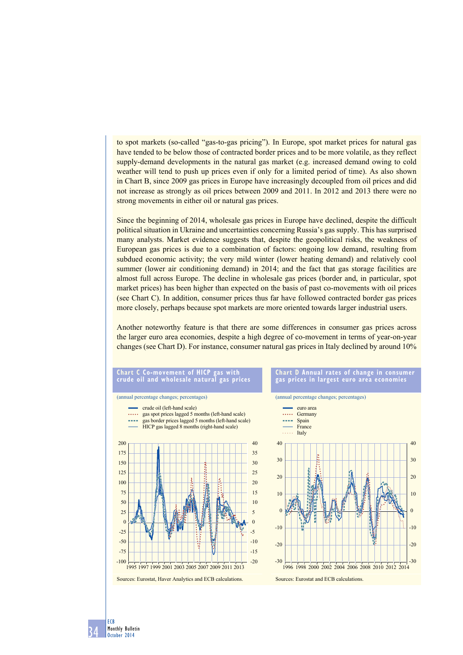to spot markets (so-called "gas-to-gas pricing"). In Europe, spot market prices for natural gas have tended to be below those of contracted border prices and to be more volatile, as they reflect supply-demand developments in the natural gas market (e.g. increased demand owing to cold weather will tend to push up prices even if only for a limited period of time). As also shown in Chart B, since 2009 gas prices in Europe have increasingly decoupled from oil prices and did not increase as strongly as oil prices between 2009 and 2011. In 2012 and 2013 there were no strong movements in either oil or natural gas prices.

Since the beginning of 2014, wholesale gas prices in Europe have declined, despite the difficult political situation in Ukraine and uncertainties concerning Russia's gas supply. This has surprised many analysts. Market evidence suggests that, despite the geopolitical risks, the weakness of European gas prices is due to a combination of factors: ongoing low demand, resulting from subdued economic activity; the very mild winter (lower heating demand) and relatively cool summer (lower air conditioning demand) in 2014; and the fact that gas storage facilities are almost full across Europe. The decline in wholesale gas prices (border and, in particular, spot market prices) has been higher than expected on the basis of past co-movements with oil prices (see Chart C). In addition, consumer prices thus far have followed contracted border gas prices more closely, perhaps because spot markets are more oriented towards larger industrial users.

Another noteworthy feature is that there are some differences in consumer gas prices across the larger euro area economies, despite a high degree of co-movement in terms of year-on-year changes (see Chart D). For instance, consumer natural gas prices in Italy declined by around 10%

### **chart c co-movement of hicp gas with crude oil and wholesale natural gas prices**



### **Chart D Annual rates of change in consumer gas prices in largest euro area economies**